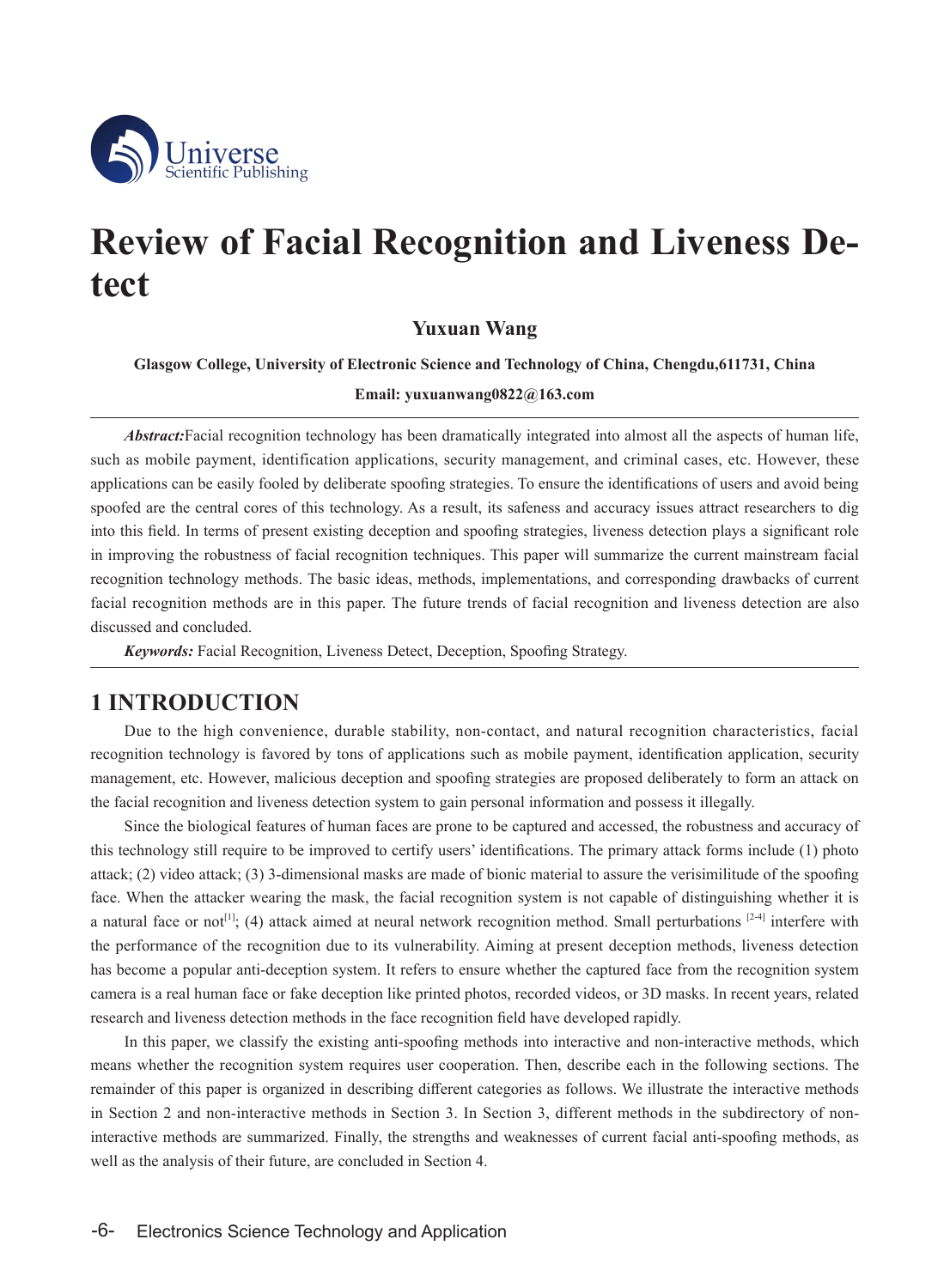

# **Review of Facial Recognition and Liveness Detect**

## **Yuxuan Wang**

**Glasgow College, University of Electronic Science and Technology of China, Chengdu,611731, China**

**Email: [yuxuanwang0822@163.com](mailto:yuxuanwang0822@163.com)**

*Abstract:*Facial recognition technology has been dramatically integrated into almost all the aspects of human life, such as mobile payment, identification applications, security management, and criminal cases, etc. However, these applications can be easily fooled by deliberate spoofing strategies. To ensure the identifications of users and avoid being spoofed are the central cores of this technology. As a result, its safeness and accuracy issues attract researchers to dig into this field. In terms of present existing deception and spoofing strategies, liveness detection plays a significant role in improving the robustness of facial recognition techniques. This paper will summarize the current mainstream facial recognition technology methods. The basic ideas, methods, implementations, and corresponding drawbacks of current facial recognition methods are in this paper. The future trends of facial recognition and liveness detection are also discussed and concluded.

*Keywords:* Facial Recognition, Liveness Detect, Deception, Spoofing Strategy.

# **1 INTRODUCTION**

Due to the high convenience, durable stability, non-contact, and natural recognition characteristics, facial recognition technology is favored by tons of applications such as mobile payment, identification application, security management, etc. However, malicious deception and spoofing strategies are proposed deliberately to form an attack on the facial recognition and liveness detection system to gain personal information and possess it illegally.

Since the biological features of human faces are prone to be captured and accessed, the robustness and accuracy of this technology still require to be improved to certify users' identifications. The primary attack forms include (1) photo attack; (2) video attack; (3) 3-dimensional masks are made of bionic material to assure the verisimilitude of the spoofing face. When the attacker wearing the mask, the facial recognition system is not capable of distinguishing whether it is a natural face or not<sup>[1]</sup>; (4) attack aimed at neural network recognition method. Small perturbations  $[2-4]$  interfere with the performance of the recognition due to its vulnerability. Aiming at present deception methods, liveness detection has become a popular anti-deception system. It refers to ensure whether the captured face from the recognition system camera is a real human face or fake deception like printed photos, recorded videos, or 3D masks. In recent years, related research and liveness detection methods in the face recognition field have developed rapidly.

In this paper, we classify the existing anti-spoofing methods into interactive and non-interactive methods, which means whether the recognition system requires user cooperation. Then, describe each in the following sections. The remainder of this paper is organized in describing different categories as follows. We illustrate the interactive methods in Section 2 and non-interactive methods in Section 3. In Section 3, different methods in the subdirectory of noninteractive methods are summarized. Finally, the strengths and weaknesses of current facial anti-spoofing methods, as well as the analysis of their future, are concluded in Section 4.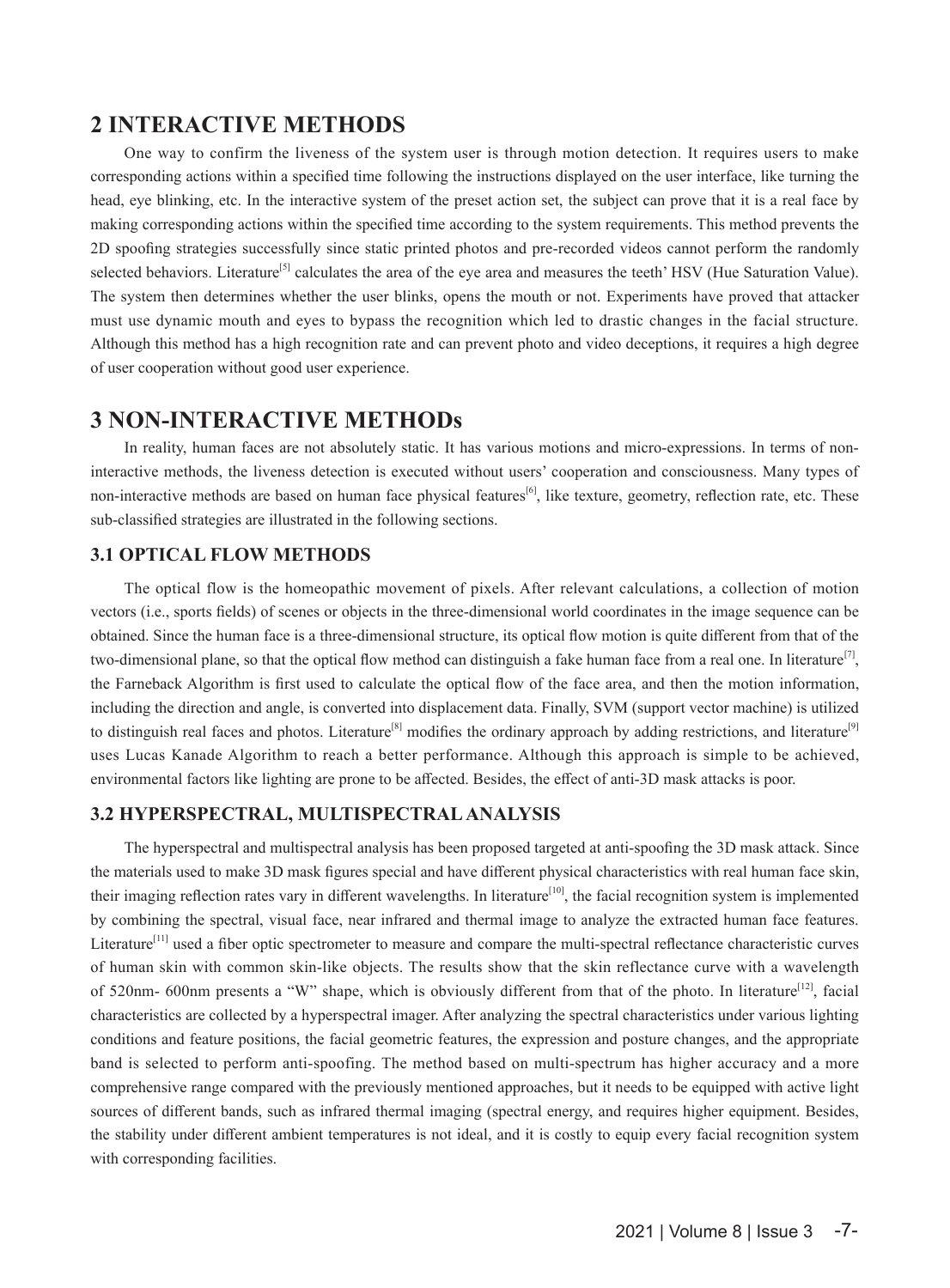# **2 INTERACTIVE METHODS**

One way to confirm the liveness of the system user is through motion detection. It requires users to make corresponding actions within a specified time following the instructions displayed on the user interface, like turning the head, eye blinking, etc. In the interactive system of the preset action set, the subject can prove that it is a real face by making corresponding actions within the specified time according to the system requirements. This method prevents the 2D spoofing strategies successfully since static printed photos and pre-recorded videos cannot perform the randomly selected behaviors. Literature<sup>[5]</sup> calculates the area of the eye area and measures the teeth' HSV (Hue Saturation Value). The system then determines whether the user blinks, opens the mouth or not. Experiments have proved that attacker must use dynamic mouth and eyes to bypass the recognition which led to drastic changes in the facial structure. Although this method has a high recognition rate and can prevent photo and video deceptions, it requires a high degree of user cooperation without good user experience.

# **3 NON-INTERACTIVE METHODs**

In reality, human faces are not absolutely static. It has various motions and micro-expressions. In terms of noninteractive methods, the liveness detection is executed without users' cooperation and consciousness. Many types of non-interactive methods are based on human face physical features<sup>[6]</sup>, like texture, geometry, reflection rate, etc. These sub-classified strategies are illustrated in the following sections.

#### **3.1 OPTICAL FLOW METHODS**

The optical flow is the homeopathic movement of pixels. After relevant calculations, a collection of motion vectors (i.e., sports fields) of scenes or objects in the three-dimensional world coordinates in the image sequence can be obtained. Since the human face is a three-dimensional structure, its optical flow motion is quite different from that of the two-dimensional plane, so that the optical flow method can distinguish a fake human face from a real one. In literature<sup>[7]</sup>, the Farneback Algorithm is first used to calculate the optical flow of the face area, and then the motion information, including the direction and angle, is converted into displacement data. Finally, SVM (support vector machine) is utilized to distinguish real faces and photos. Literature<sup>[8]</sup> modifies the ordinary approach by adding restrictions, and literature<sup>[9]</sup> uses Lucas Kanade Algorithm to reach a better performance. Although this approach is simple to be achieved, environmental factors like lighting are prone to be affected. Besides, the effect of anti-3D mask attacks is poor.

## **3.2 HYPERSPECTRAL, MULTISPECTRALANALYSIS**

The hyperspectral and multispectral analysis has been proposed targeted at anti-spoofing the 3D mask attack. Since the materials used to make 3D mask figures special and have different physical characteristics with real human face skin, their imaging reflection rates vary in different wavelengths. In literature<sup>[10]</sup>, the facial recognition system is implemented by combining the spectral, visual face, near infrared and thermal image to analyze the extracted human face features. Literature<sup>[11]</sup> used a fiber optic spectrometer to measure and compare the multi-spectral reflectance characteristic curves of human skin with common skin-like objects. The results show that the skin reflectance curve with a wavelength of 520nm- 600nm presents a "W" shape, which is obviously different from that of the photo. In literature[12], facial characteristics are collected by a hyperspectral imager. After analyzing the spectral characteristics under various lighting conditions and feature positions, the facial geometric features, the expression and posture changes, and the appropriate band is selected to perform anti-spoofing. The method based on multi-spectrum has higher accuracy and a more comprehensive range compared with the previously mentioned approaches, but it needs to be equipped with active light sources of different bands, such as infrared thermal imaging (spectral energy, and requires higher equipment. Besides, the stability under different ambient temperatures is not ideal, and it is costly to equip every facial recognition system with corresponding facilities.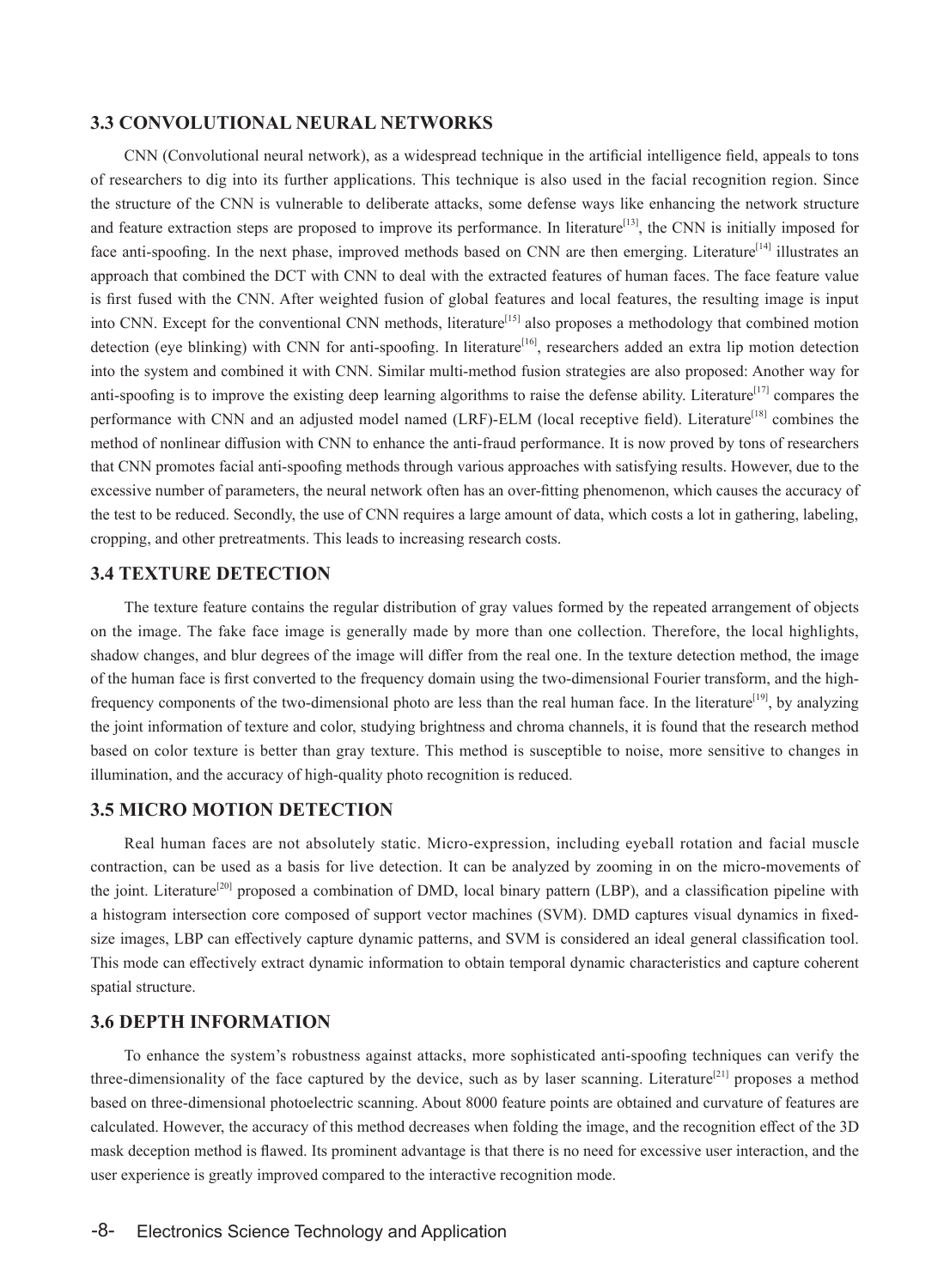## **3.3 CONVOLUTIONAL NEURAL NETWORKS**

CNN (Convolutional neural network), as a widespread technique in the artificial intelligence field, appeals to tons of researchers to dig into its further applications. This technique is also used in the facial recognition region. Since the structure of the CNN is vulnerable to deliberate attacks, some defense ways like enhancing the network structure and feature extraction steps are proposed to improve its performance. In literature<sup>[13]</sup>, the CNN is initially imposed for face anti-spoofing. In the next phase, improved methods based on CNN are then emerging. Literature<sup>[14]</sup> illustrates an approach that combined the DCT with CNN to deal with the extracted features of human faces. The face feature value is first fused with the CNN. After weighted fusion of global features and local features, the resulting image is input into CNN. Except for the conventional CNN methods, literature<sup>[15]</sup> also proposes a methodology that combined motion detection (eye blinking) with CNN for anti-spoofing. In literature<sup>[16]</sup>, researchers added an extra lip motion detection into the system and combined it with CNN. Similar multi-method fusion strategies are also proposed: Another way for anti-spoofing is to improve the existing deep learning algorithms to raise the defense ability. Literature<sup>[17]</sup> compares the performance with CNN and an adjusted model named (LRF)-ELM (local receptive field). Literature<sup>[18]</sup> combines the method of nonlinear diffusion with CNN to enhance the anti-fraud performance. It is now proved by tons of researchers that CNN promotes facial anti-spoofing methods through various approaches with satisfying results. However, due to the excessive number of parameters, the neural network often has an over-fitting phenomenon, which causes the accuracy of the test to be reduced. Secondly, the use of CNN requires a large amount of data, which costs a lot in gathering, labeling, cropping, and other pretreatments. This leads to increasing research costs.

## **3.4 TEXTURE DETECTION**

The texture feature contains the regular distribution of gray values formed by the repeated arrangement of objects on the image. The fake face image is generally made by more than one collection. Therefore, the local highlights, shadow changes, and blur degrees of the image will differ from the real one. In the texture detection method, the image of the human face is first converted to the frequency domain using the two-dimensional Fourier transform, and the highfrequency components of the two-dimensional photo are less than the real human face. In the literature<sup>[19]</sup>, by analyzing the joint information of texture and color, studying brightness and chroma channels, it is found that the research method based on color texture is better than gray texture. This method is susceptible to noise, more sensitive to changes in illumination, and the accuracy of high-quality photo recognition is reduced.

#### **3.5 MICRO MOTION DETECTION**

Real human faces are not absolutely static. Micro-expression, including eyeball rotation and facial muscle contraction, can be used as a basis for live detection. It can be analyzed by zooming in on the micro-movements of the joint. Literature<sup>[20]</sup> proposed a combination of DMD, local binary pattern (LBP), and a classification pipeline with a histogram intersection core composed of support vector machines (SVM). DMD captures visual dynamics in fixedsize images, LBP can effectively capture dynamic patterns, and SVM is considered an ideal general classification tool. This mode can effectively extract dynamic information to obtain temporal dynamic characteristics and capture coherent spatial structure.

#### **3.6 DEPTH INFORMATION**

To enhance the system's robustness against attacks, more sophisticated anti-spoofing techniques can verify the three-dimensionality of the face captured by the device, such as by laser scanning. Literature<sup>[21]</sup> proposes a method based on three-dimensional photoelectric scanning. About 8000 feature points are obtained and curvature of features are calculated. However, the accuracy of this method decreases when folding the image, and the recognition effect of the 3D mask deception method is flawed. Its prominent advantage is that there is no need for excessive user interaction, and the user experience is greatly improved compared to the interactive recognition mode.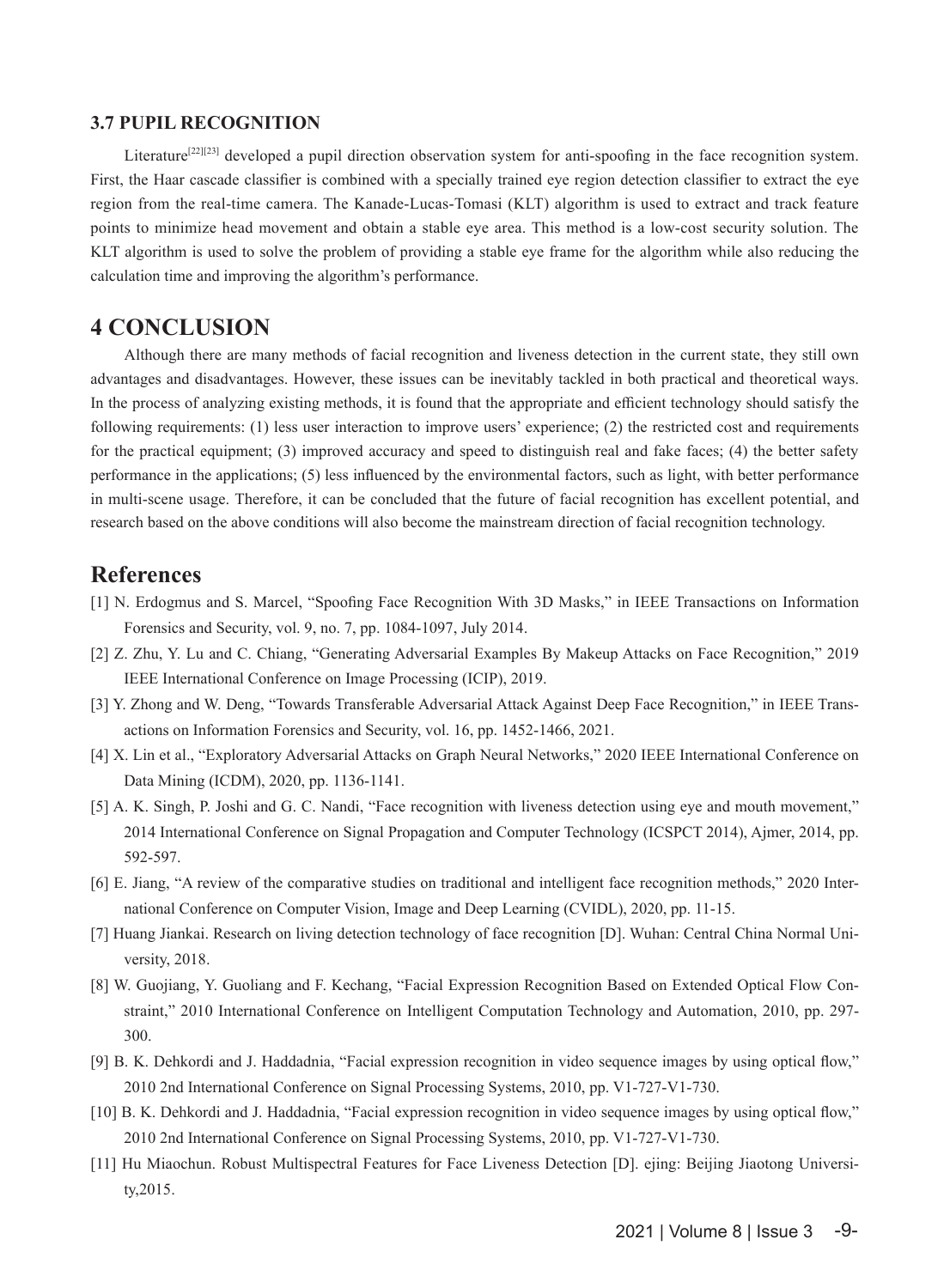#### **3.7 PUPIL RECOGNITION**

Literature<sup>[22][23]</sup> developed a pupil direction observation system for anti-spoofing in the face recognition system. First, the Haar cascade classifier is combined with a specially trained eye region detection classifier to extract the eye region from the real-time camera. The Kanade-Lucas-Tomasi (KLT) algorithm is used to extract and track feature points to minimize head movement and obtain a stable eye area. This method is a low-cost security solution. The KLT algorithm is used to solve the problem of providing a stable eye frame for the algorithm while also reducing the calculation time and improving the algorithm's performance.

## **4 CONCLUSION**

Although there are many methods of facial recognition and liveness detection in the current state, they still own advantages and disadvantages. However, these issues can be inevitably tackled in both practical and theoretical ways. In the process of analyzing existing methods, it is found that the appropriate and efficient technology should satisfy the following requirements: (1) less user interaction to improve users' experience; (2) the restricted cost and requirements for the practical equipment; (3) improved accuracy and speed to distinguish real and fake faces; (4) the better safety performance in the applications; (5) less influenced by the environmental factors, such as light, with better performance in multi-scene usage. Therefore, it can be concluded that the future of facial recognition has excellent potential, and research based on the above conditions will also become the mainstream direction of facial recognition technology.

# **References**

- [1] N. Erdogmus and S. Marcel, "Spoofing Face Recognition With 3D Masks," in IEEE Transactions on Information Forensics and Security, vol. 9, no. 7, pp. 1084-1097, July 2014.
- [2] Z. Zhu, Y. Lu and C. Chiang, "Generating Adversarial Examples By Makeup Attacks on Face Recognition," 2019 IEEE International Conference on Image Processing (ICIP), 2019.
- [3] Y. Zhong and W. Deng, "Towards Transferable Adversarial Attack Against Deep Face Recognition," in IEEE Transactions on Information Forensics and Security, vol. 16, pp. 1452-1466, 2021.
- [4] X. Lin et al., "Exploratory Adversarial Attacks on Graph Neural Networks," 2020 IEEE International Conference on Data Mining (ICDM), 2020, pp. 1136-1141.
- [5] A. K. Singh, P. Joshi and G. C. Nandi, "Face recognition with liveness detection using eye and mouth movement," 2014 International Conference on Signal Propagation and Computer Technology (ICSPCT 2014), Ajmer, 2014, pp. 592-597.
- [6] E. Jiang, "A review of the comparative studies on traditional and intelligent face recognition methods," 2020 International Conference on Computer Vision, Image and Deep Learning (CVIDL), 2020, pp. 11-15.
- [7] Huang Jiankai. Research on living detection technology of face recognition [D]. Wuhan: Central China Normal University, 2018.
- [8] W. Guojiang, Y. Guoliang and F. Kechang, "Facial Expression Recognition Based on Extended Optical Flow Constraint," 2010 International Conference on Intelligent Computation Technology and Automation, 2010, pp. 297- 300.
- [9] B. K. Dehkordi and J. Haddadnia, "Facial expression recognition in video sequence images by using optical flow," 2010 2nd International Conference on Signal Processing Systems, 2010, pp. V1-727-V1-730.
- [10] B. K. Dehkordi and J. Haddadnia, "Facial expression recognition in video sequence images by using optical flow," 2010 2nd International Conference on Signal Processing Systems, 2010, pp. V1-727-V1-730.
- [11] Hu Miaochun. Robust Multispectral Features for Face Liveness Detection [D]. ejing: Beijing Jiaotong University,2015.